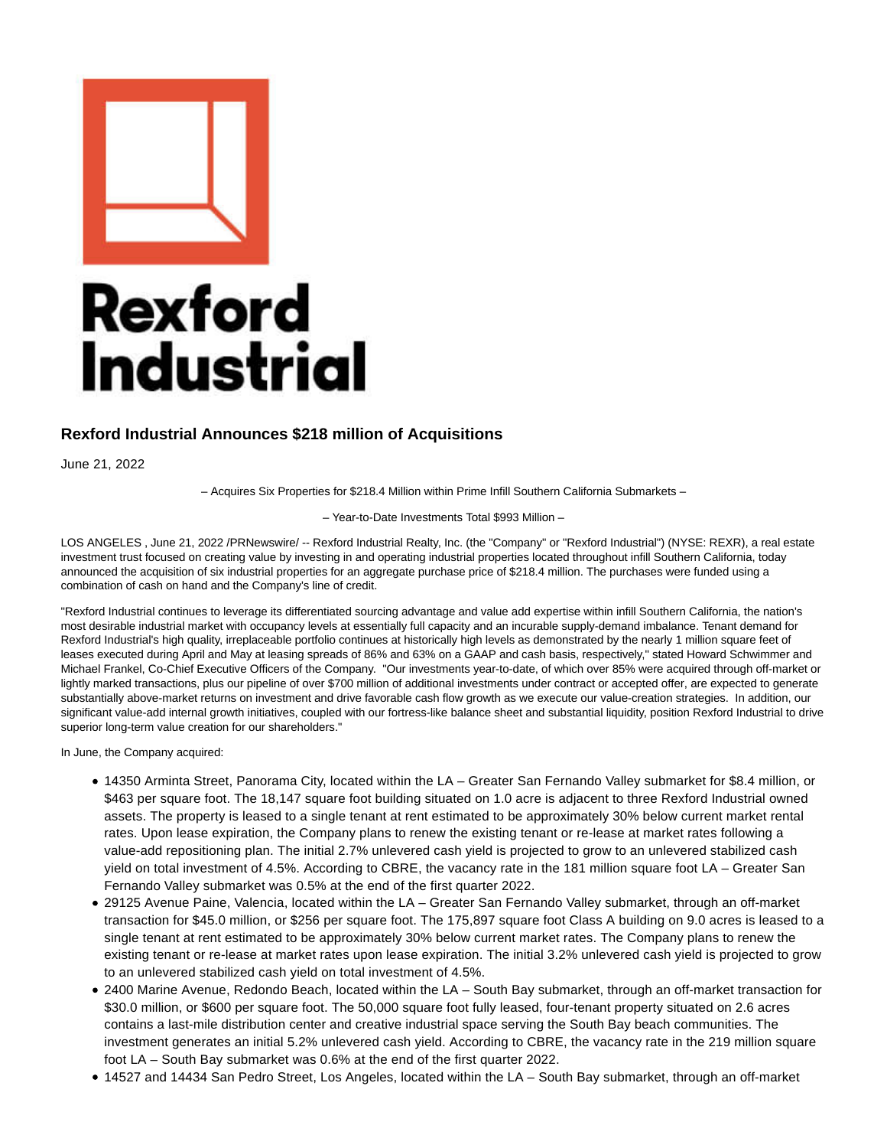

## **Rexford Industrial Announces \$218 million of Acquisitions**

June 21, 2022

– Acquires Six Properties for \$218.4 Million within Prime Infill Southern California Submarkets –

– Year-to-Date Investments Total \$993 Million –

LOS ANGELES , June 21, 2022 /PRNewswire/ -- Rexford Industrial Realty, Inc. (the "Company" or "Rexford Industrial") (NYSE: REXR), a real estate investment trust focused on creating value by investing in and operating industrial properties located throughout infill Southern California, today announced the acquisition of six industrial properties for an aggregate purchase price of \$218.4 million. The purchases were funded using a combination of cash on hand and the Company's line of credit.

"Rexford Industrial continues to leverage its differentiated sourcing advantage and value add expertise within infill Southern California, the nation's most desirable industrial market with occupancy levels at essentially full capacity and an incurable supply-demand imbalance. Tenant demand for Rexford Industrial's high quality, irreplaceable portfolio continues at historically high levels as demonstrated by the nearly 1 million square feet of leases executed during April and May at leasing spreads of 86% and 63% on a GAAP and cash basis, respectively," stated Howard Schwimmer and Michael Frankel, Co-Chief Executive Officers of the Company. "Our investments year-to-date, of which over 85% were acquired through off-market or lightly marked transactions, plus our pipeline of over \$700 million of additional investments under contract or accepted offer, are expected to generate substantially above-market returns on investment and drive favorable cash flow growth as we execute our value-creation strategies. In addition, our significant value-add internal growth initiatives, coupled with our fortress-like balance sheet and substantial liquidity, position Rexford Industrial to drive superior long-term value creation for our shareholders."

In June, the Company acquired:

- 14350 Arminta Street, Panorama City, located within the LA Greater San Fernando Valley submarket for \$8.4 million, or \$463 per square foot. The 18,147 square foot building situated on 1.0 acre is adjacent to three Rexford Industrial owned assets. The property is leased to a single tenant at rent estimated to be approximately 30% below current market rental rates. Upon lease expiration, the Company plans to renew the existing tenant or re-lease at market rates following a value-add repositioning plan. The initial 2.7% unlevered cash yield is projected to grow to an unlevered stabilized cash yield on total investment of 4.5%. According to CBRE, the vacancy rate in the 181 million square foot LA – Greater San Fernando Valley submarket was 0.5% at the end of the first quarter 2022.
- 29125 Avenue Paine, Valencia, located within the LA Greater San Fernando Valley submarket, through an off-market transaction for \$45.0 million, or \$256 per square foot. The 175,897 square foot Class A building on 9.0 acres is leased to a single tenant at rent estimated to be approximately 30% below current market rates. The Company plans to renew the existing tenant or re-lease at market rates upon lease expiration. The initial 3.2% unlevered cash yield is projected to grow to an unlevered stabilized cash yield on total investment of 4.5%.
- 2400 Marine Avenue, Redondo Beach, located within the LA South Bay submarket, through an off-market transaction for \$30.0 million, or \$600 per square foot. The 50,000 square foot fully leased, four-tenant property situated on 2.6 acres contains a last-mile distribution center and creative industrial space serving the South Bay beach communities. The investment generates an initial 5.2% unlevered cash yield. According to CBRE, the vacancy rate in the 219 million square foot LA – South Bay submarket was 0.6% at the end of the first quarter 2022.
- 14527 and 14434 San Pedro Street, Los Angeles, located within the LA South Bay submarket, through an off-market